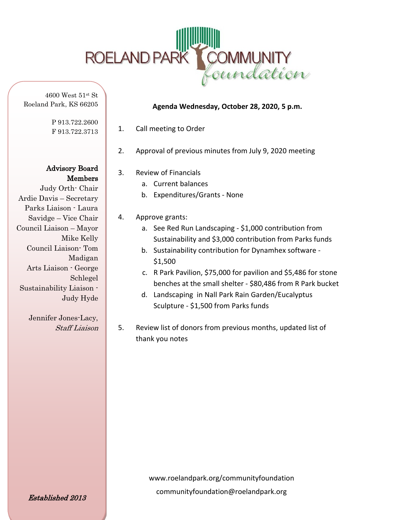

Roeland Park, KS 66205

P 913.722.2600 F 913.722.3713

Advisory Board Members

Judy Orth- Chair Ardie Davis – Secretary Parks Liaison - Laura Savidge – Vice Chair Council Liaison – Mayor Mike Kelly Council Liaison- Tom Madigan Arts Liaison - George Schlegel Sustainability Liaison - Judy Hyde

> Jennifer Jones-Lacy, Staff Liaison

## **Agenda Wednesday, October 28, 2020, 5 p.m.**

- 1. Call meeting to Order
- 2. Approval of previous minutes from July 9, 2020 meeting
- 3. Review of Financials
	- a. Current balances
	- b. Expenditures/Grants None
- 4. Approve grants:
	- a. See Red Run Landscaping \$1,000 contribution from Sustainability and \$3,000 contribution from Parks funds
	- b. Sustainability contribution for Dynamhex software \$1,500
	- c. R Park Pavilion, \$75,000 for pavilion and \$5,486 for stone benches at the small shelter - \$80,486 from R Park bucket
	- d. Landscaping in Nall Park Rain Garden/Eucalyptus Sculpture - \$1,500 from Parks funds
- 5. Review list of donors from previous months, updated list of thank you notes

www.roelandpark.org/communityfoundation communityfoundation@roelandpark.org

Established 2013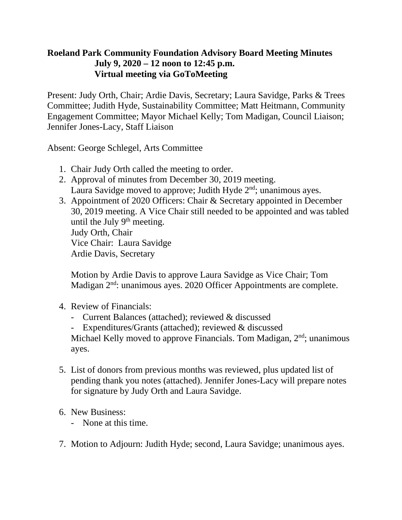## **Roeland Park Community Foundation Advisory Board Meeting Minutes July 9, 2020 – 12 noon to 12:45 p.m. Virtual meeting via GoToMeeting**

Present: Judy Orth, Chair; Ardie Davis, Secretary; Laura Savidge, Parks & Trees Committee; Judith Hyde, Sustainability Committee; Matt Heitmann, Community Engagement Committee; Mayor Michael Kelly; Tom Madigan, Council Liaison; Jennifer Jones-Lacy, Staff Liaison

Absent: George Schlegel, Arts Committee

- 1. Chair Judy Orth called the meeting to order.
- 2. Approval of minutes from December 30, 2019 meeting. Laura Savidge moved to approve; Judith Hyde  $2<sup>nd</sup>$ ; unanimous ayes.
- 3. Appointment of 2020 Officers: Chair & Secretary appointed in December 30, 2019 meeting. A Vice Chair still needed to be appointed and was tabled until the July  $9<sup>th</sup>$  meeting. Judy Orth, Chair Vice Chair: Laura Savidge Ardie Davis, Secretary

Motion by Ardie Davis to approve Laura Savidge as Vice Chair; Tom Madigan  $2<sup>nd</sup>$ : unanimous ayes. 2020 Officer Appointments are complete.

- 4. Review of Financials:
	- Current Balances (attached); reviewed & discussed
	- Expenditures/Grants (attached); reviewed & discussed

Michael Kelly moved to approve Financials. Tom Madigan, 2<sup>nd</sup>; unanimous ayes.

- 5. List of donors from previous months was reviewed, plus updated list of pending thank you notes (attached). Jennifer Jones-Lacy will prepare notes for signature by Judy Orth and Laura Savidge.
- 6. New Business:
	- None at this time.
- 7. Motion to Adjourn: Judith Hyde; second, Laura Savidge; unanimous ayes.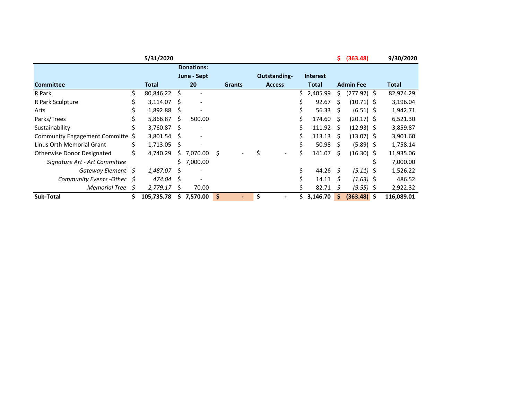|                                   |    | 5/31/2020   |    |                              |     |               |    |                     |    |                 | \$.  | (363.48)         | 9/30/2020  |
|-----------------------------------|----|-------------|----|------------------------------|-----|---------------|----|---------------------|----|-----------------|------|------------------|------------|
|                                   |    |             |    | <b>Donations:</b>            |     |               |    |                     |    |                 |      |                  |            |
|                                   |    |             |    | June - Sept                  |     |               |    | <b>Outstanding-</b> |    | <b>Interest</b> |      |                  |            |
| <b>Committee</b>                  |    | Total       |    | 20                           |     | <b>Grants</b> |    | <b>Access</b>       |    | Total           |      | <b>Admin Fee</b> | Total      |
| R Park                            | Ś  | 80,846.22   | Ŝ. |                              |     |               |    |                     |    | 2,405.99        | S    | $(277.92)$ \$    | 82,974.29  |
| R Park Sculpture                  |    | 3,114.07    | S  | $\overline{\phantom{a}}$     |     |               |    |                     |    | 92.67           | S    | $(10.71)$ \$     | 3,196.04   |
| Arts                              |    | 1,892.88    | S  | $\qquad \qquad \blacksquare$ |     |               |    |                     |    | 56.33           | S    | $(6.51)$ \$      | 1,942.71   |
| Parks/Trees                       |    | 5,866.87    | S  | 500.00                       |     |               |    |                     | Ś. | 174.60          | -S   | $(20.17)$ \$     | 6,521.30   |
| Sustainability                    | S  | 3,760.87 \$ |    | $\overline{\phantom{a}}$     |     |               |    |                     |    | 111.92          | - \$ | $(12.93)$ \$     | 3,859.87   |
| Community Engagement Committe \$  |    | 3,801.54    | S. | $\overline{\phantom{a}}$     |     |               |    |                     | S  | 113.13          | -S   | $(13.07)$ \$     | 3,901.60   |
| Linus Orth Memorial Grant         |    | 1,713.05    | \$ | $\overline{\phantom{a}}$     |     |               |    |                     | Ś. | 50.98           | S    | $(5.89)$ \$      | 1,758.14   |
| <b>Otherwise Donor Designated</b> |    | 4,740.29    | Ŝ. | 7,070.00                     | - S |               | \$ |                     | Ś. | 141.07          | S    | $(16.30)$ \$     | 11,935.06  |
| Signature Art - Art Committee     |    |             |    | \$7,000.00                   |     |               |    |                     |    |                 |      |                  | 7,000.00   |
| Gateway Element \$                |    | 1,487.07    | S  | $\overline{\phantom{a}}$     |     |               |    |                     | \$ | 44.26 $\zeta$   |      | $(5.11)$ \$      | 1,526.22   |
| Community Events - Other $\oint$  |    | 474.04 \$   |    | $\overline{\phantom{a}}$     |     |               |    |                     |    | 14.11           | S    | $(1.63)$ \$      | 486.52     |
| <b>Memorial Tree</b>              | S  | 2,779.17    | S  | 70.00                        |     |               |    |                     |    | 82.71           | S    | $(9.55)$ \$      | 2,922.32   |
| Sub-Total                         | \$ | 105,735.78  | S. | 7,570.00                     | \$  |               | \$ |                     |    | 3,146.70        | S.   | $(363.48)$ \$    | 116,089.01 |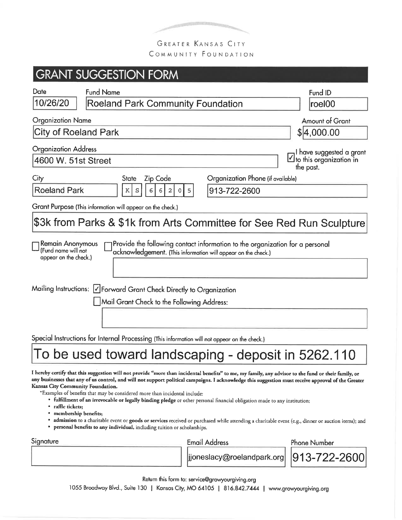

GREATER KANSAS CITY COMMUNITY FOUNDATION

#### **GRANT SUGGESTION FORM** Date **Fund Name** Fund ID **Roeland Park Community Foundation** 10/26/20 |roel00 **Organization Name** Amount of Grant **City of Roeland Park** \$ $4,000.00$ **Organization Address** I have suggested a grant to this organization in 4600 W. 51st Street the past. City Organization Phone (if available) **Zip Code State Roeland Park**  $\rm K$ 6  $\, \mathbb{S} \,$  $\sqrt{6}$  $\overline{2}$ 913-722-2600 Grant Purpose (This information will appear on the check.) \$3k from Parks & \$1k from Arts Committee for See Red Run Sculpture Remain Anonymous Provide the following contact information to the organization for a personal (Fund name will not acknowledgement. (This information will appear on the check.) appear on the check.) Mailing Instructions: *V* Forward Grant Check Directly to Organization | Mail Grant Check to the Following Address: Special Instructions for Internal Processing (This information will not appear on the check.) To be used toward landscaping - deposit in 5262.110 I hereby certify that this suggestion will not provide "more than incidental benefits" to me, my family, any advisor to the fund or their family, or any businesses that any of us control, and will not support political campaigns. I acknowledge this suggestion must receive approval of the Greater

Kansas City Community Foundation.

\*Examples of benefits that may be considered more than incidental include:

- · fulfillment of an irrevocable or legally binding pledge or other personal financial obligation made to any institution;
- raffle tickets:
- membership benefits:
- admission to a charitable event or goods or services received or purchased while attending a charitable event (e.g., dinner or auction items); and
- personal benefits to any individual, including tuition or scholarships.

Signature

**Email Address** 

**Phone Number** 

jjoneslacy@roelandpark.org

913-722-2600

Return this form to: service@growyourgiving.org

1055 Broadway Blvd., Suite 130 | Kansas City, MO 64105 | 816.842.7444 | www.growyourgiving.org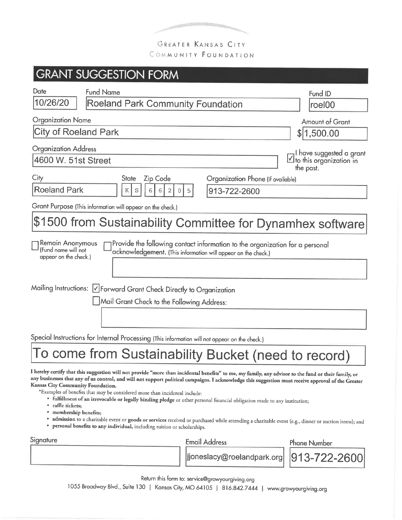

COMMUNITY FOUNDATION

| <b>GRANT SUGGESTION FORM</b>                                                                                                                                                                                      |                                                                                |
|-------------------------------------------------------------------------------------------------------------------------------------------------------------------------------------------------------------------|--------------------------------------------------------------------------------|
| Date<br><b>Fund Name</b><br>10/26/20<br>Roeland Park Community Foundation                                                                                                                                         | Fund ID<br>roel00                                                              |
| <b>Organization Name</b>                                                                                                                                                                                          | <b>Amount of Grant</b>                                                         |
| City of Roeland Park                                                                                                                                                                                              | \$ 1,500.00                                                                    |
| <b>Organization Address</b><br>4600 W. 51st Street<br>City<br><b>Zip Code</b><br>Organization Phone (if available)<br><b>State</b>                                                                                | $\Box$ I have suggested a grant<br>$\Box$ to this organization in<br>the past. |
| Roeland Park<br>913-722-2600<br>K<br>S<br>6<br>6<br>2<br>$\Omega$<br>5                                                                                                                                            |                                                                                |
| Grant Purpose (This information will appear on the check.)                                                                                                                                                        |                                                                                |
| \$1500 from Sustainability Committee for Dynamhex software                                                                                                                                                        |                                                                                |
| Remain Anonymous<br>Provide the following contact information to the organization for a personal<br>(Fund name will not<br>acknowledgement. (This information will appear on the check.)<br>appear on the check.) |                                                                                |
|                                                                                                                                                                                                                   |                                                                                |
| Mailing Instructions: ∑Forward Grant Check Directly to Organization                                                                                                                                               |                                                                                |
| Mail Grant Check to the Following Address:                                                                                                                                                                        |                                                                                |
|                                                                                                                                                                                                                   |                                                                                |
| Special Instructions for Internal Processing (This information will not appear on the check.)                                                                                                                     |                                                                                |
| To come from Sustainability Bucket (need to record)                                                                                                                                                               |                                                                                |
|                                                                                                                                                                                                                   |                                                                                |

I hereby certify that this suggestion will not provide "more than incidental benefits" to me, my family, any advisor to the fund or their family, or any businesses that any of us control, and will not support political campaigns. I acknowledge this suggestion must receive approval of the Greater Kansas City Community Foundation.

\*Examples of benefits that may be considered more than incidental include:

- · fulfillment of an irrevocable or legally binding pledge or other personal financial obligation made to any institution;
- · raffle tickets;
- · membership benefits;
- · admission to a charitable event or goods or services received or purchased while attending a charitable event (e.g., dinner or auction items); and
- personal benefits to any individual, including tuition or scholarships.

| Signature | <b>Email Address</b>                                              | <b>Phone Number</b> |
|-----------|-------------------------------------------------------------------|---------------------|
|           | $\mid$  jjoneslacy@roelandpark.org $\mid$ $ 913$ – $722$ – $2600$ |                     |

Return this form to: service@growyourgiving.org

1055 Broadway Blvd., Suite 130 | Kansas City, MO 64105 | 816.842.7444 | www.growyourgiving.org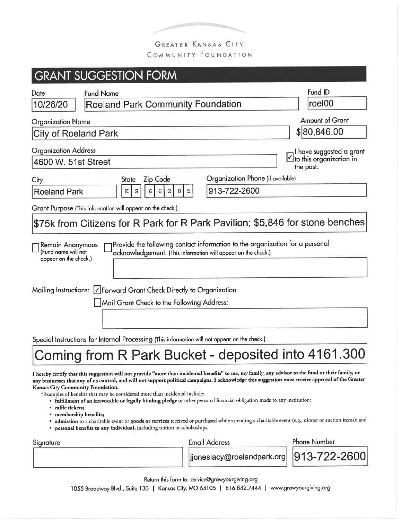

GREATER KANSAS CITY COMMUNITY FOUNDATION

### **GRANT SUGGESTION FORM** Fund ID **Fund Name** Date **Roeland Park Community Foundation** roel00 10/26/20 **Amount of Grant Organization Name** \$80,846.00 City of Roeland Park **Organization Address** I have suggested a grant  $\vee$  to this organization in 4600 W. 51st Street the past. Organization Phone (if available) **Zip Code** City **State Roeland Park**  $\rm K$ S 6  $\epsilon$ 913-722-2600 Grant Purpose (This information will appear on the check.) \$75k from Citizens for R Park for R Park Pavilion; \$5,846 for stone benches Provide the following contact information to the organization for a personal **Remain Anonymous** (Fund name will not acknowledgement. (This information will appear on the check.) appear on the check.) Mailing Instructions: V Forward Grant Check Directly to Organization Mail Grant Check to the Following Address: Special Instructions for Internal Processing (This information will not appear on the check.) Coming from R Park Bucket - deposited into 4161.300 I hereby certify that this suggestion will not provide "more than incidental benefits" to me, my family, any advisor to the fund or their family, or any businesses that any of us control, and will not support political campaigns. I acknowledge this suggestion must receive approval of the Greater

Kansas City Community Foundation.

\*Examples of benefits that may be considered more than incidental include:

- fulfillment of an irrevocable or legally binding pledge or other personal financial obligation made to any institution;
- · raffle tickets;
- membership benefits;
- · admission to a charitable event or goods or services received or purchased while attending a charitable event (e.g., dinner or auction items); and
- personal benefits to any individual, including tuition or scholarships.

| Signature | Email Address                                                | <b>Phone Number</b> |
|-----------|--------------------------------------------------------------|---------------------|
|           | $\frac{1}{2}$  jjoneslacy@roelandpark.org   $ 913-722-2600 $ |                     |

Return this form to: service@growyourgiving.org 1055 Broadway Blvd., Suite 130 | Kansas City, MO 64105 | 816.842.7444 | www.growyourgiving.org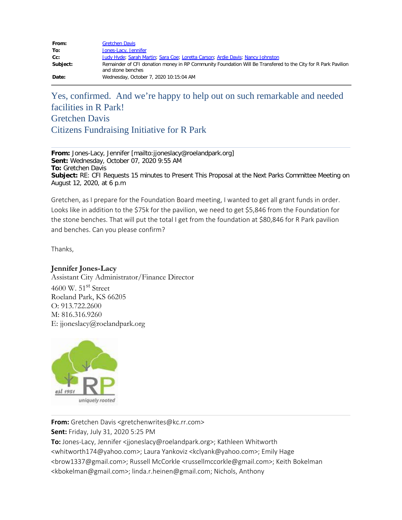| From:    | <b>Gretchen Davis</b>                                                                                                              |
|----------|------------------------------------------------------------------------------------------------------------------------------------|
| To:      | Jones-Lacy, Jennifer                                                                                                               |
| $Cc$ :   | Judy Hyde; Sarah Martin; Sara Coe; Loretta Carson; Ardie Davis; Nancy Johnston                                                     |
| Subject: | Remainder of CFI donation money in RP Community Foundation Will Be Transfered to the City for R Park Pavilion<br>and stone benches |
| Date:    | Wednesday, October 7, 2020 10:15:04 AM                                                                                             |

# Yes, confirmed. And we're happy to help out on such remarkable and needed facilities in R Park! Gretchen Davis Citizens Fundraising Initiative for R Park

**From:** Jones-Lacy, Jennifer [mailto:jjoneslacy@roelandpark.org] **Sent:** Wednesday, October 07, 2020 9:55 AM **To:** Gretchen Davis **Subject:** RE: CFI Requests 15 minutes to Present This Proposal at the Next Parks Committee Meeting on August 12, 2020, at 6 p.m

Gretchen, as I prepare for the Foundation Board meeting, I wanted to get all grant funds in order. Looks like in addition to the \$75k for the pavilion, we need to get \$5,846 from the Foundation for the stone benches. That will put the total I get from the foundation at \$80,846 for R Park pavilion and benches. Can you please confirm?

Thanks,

### **Jennifer Jones-Lacy**

Assistant City Administrator/Finance Director 4600 W. 51<sup>st</sup> Street Roeland Park, KS 66205 O: 913.722.2600 M: 816.316.9260 E: jjoneslacy@roelandpark.org



**From:** Gretchen Davis <gretchenwrites@kc.rr.com>

**Sent:** Friday, July 31, 2020 5:25 PM

**To:** Jones-Lacy, Jennifer <ijoneslacy@roelandpark.org>; Kathleen Whitworth <whitworth174@yahoo.com>; Laura Yankoviz <kclyank@yahoo.com>; Emily Hage <brow1337@gmail.com>; Russell McCorkle <russellmccorkle@gmail.com>; Keith Bokelman <kbokelman@gmail.com>; linda.r.heinen@gmail.com; Nichols, Anthony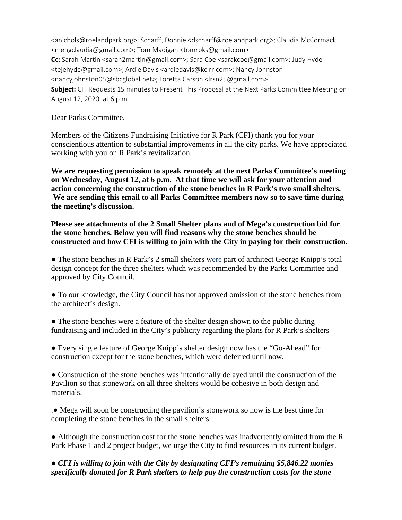<anichols@roelandpark.org>; Scharff, Donnie <dscharff@roelandpark.org>; Claudia McCormack <mengclaudia@gmail.com>; Tom Madigan <tomrpks@gmail.com> **Cc:** Sarah Martin <sarah2martin@gmail.com>; Sara Coe <sarakcoe@gmail.com>; Judy Hyde <tejehyde@gmail.com>; Ardie Davis <ardiedavis@kc.rr.com>; Nancy Johnston <nancyjohnston05@sbcglobal.net>; Loretta Carson <lrsn25@gmail.com> **Subject:** CFI Requests 15 minutes to Present This Proposal at the Next Parks Committee Meeting on August 12, 2020, at 6 p.m

Dear Parks Committee,

Members of the Citizens Fundraising Initiative for R Park (CFI) thank you for your conscientious attention to substantial improvements in all the city parks. We have appreciated working with you on R Park's revitalization.

**We are requesting permission to speak remotely at the next Parks Committee's meeting on Wednesday, August 12, at 6 p.m. At that time we will ask for your attention and action concerning the construction of the stone benches in R Park's two small shelters. We are sending this email to all Parks Committee members now so to save time during the meeting's discussion.** 

**Please see attachments of the 2 Small Shelter plans and of Mega's construction bid for the stone benches. Below you will find reasons why the stone benches should be constructed and how CFI is willing to join with the City in paying for their construction.**

• The stone benches in R Park's 2 small shelters were part of architect George Knipp's total design concept for the three shelters which was recommended by the Parks Committee and approved by City Council.

● To our knowledge, the City Council has not approved omission of the stone benches from the architect's design.

• The stone benches were a feature of the shelter design shown to the public during fundraising and included in the City's publicity regarding the plans for R Park's shelters

● Every single feature of George Knipp's shelter design now has the "Go-Ahead" for construction except for the stone benches, which were deferred until now.

● Construction of the stone benches was intentionally delayed until the construction of the Pavilion so that stonework on all three shelters would be cohesive in both design and materials.

.● Mega will soon be constructing the pavilion's stonework so now is the best time for completing the stone benches in the small shelters.

• Although the construction cost for the stone benches was inadvertently omitted from the R Park Phase 1 and 2 project budget, we urge the City to find resources in its current budget.

### ● *CFI is willing to join with the City by designating CFI's remaining \$5,846.22 monies specifically donated for R Park shelters to help pay the construction costs for the stone*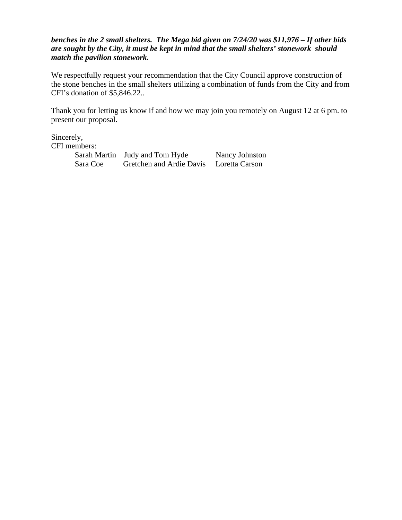### *benches in the 2 small shelters. The Mega bid given on 7/24/20 was \$11,976 – If other bids are sought by the City, it must be kept in mind that the small shelters' stonework should match the pavilion stonework.*

We respectfully request your recommendation that the City Council approve construction of the stone benches in the small shelters utilizing a combination of funds from the City and from CFI's donation of \$5,846.22..

Thank you for letting us know if and how we may join you remotely on August 12 at 6 pm. to present our proposal.

Sincerely, CFI members:

| .        |                                |                |
|----------|--------------------------------|----------------|
|          | Sarah Martin Judy and Tom Hyde | Nancy Johnston |
| Sara Coe | Gretchen and Ardie Davis       | Loretta Carson |